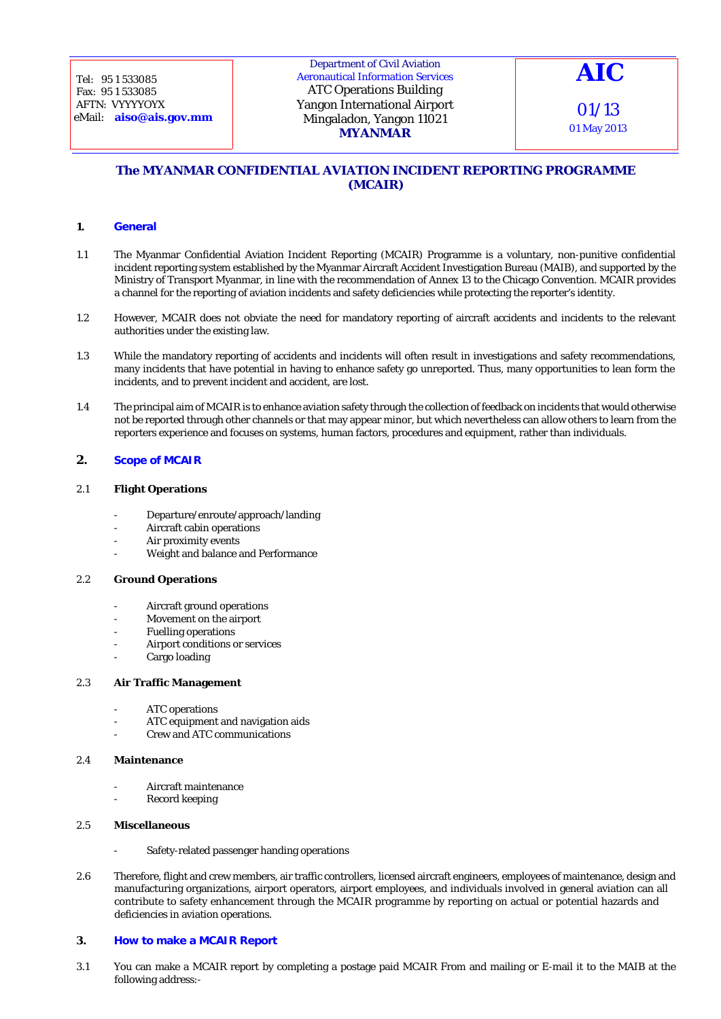## Department of Civil Aviation Aeronautical Information Services ATC Operations Building Yangon International Airport Mingaladon, Yangon 11021 **MYANMAR**

01 May 2013

# **The MYANMAR CONFIDENTIAL AVIATION INCIDENT REPORTING PROGRAMME (MCAIR)**

## **1. General**

- 1.1 The Myanmar Confidential Aviation Incident Reporting (MCAIR) Programme is a voluntary, non-punitive confidential incident reporting system established by the Myanmar Aircraft Accident Investigation Bureau (MAIB), and supported by the Ministry of Transport Myanmar, in line with the recommendation of Annex 13 to the Chicago Convention. MCAIR provides a channel for the reporting of aviation incidents and safety deficiencies while protecting the reporter's identity.
- 1.2 However, MCAIR does not obviate the need for mandatory reporting of aircraft accidents and incidents to the relevant authorities under the existing law.
- 1.3 While the mandatory reporting of accidents and incidents will often result in investigations and safety recommendations, many incidents that have potential in having to enhance safety go unreported. Thus, many opportunities to lean form the incidents, and to prevent incident and accident, are lost.
- 1.4 The principal aim of MCAIR is to enhance aviation safety through the collection of feedback on incidents that would otherwise not be reported through other channels or that may appear minor, but which nevertheless can allow others to learn from the reporters experience and focuses on systems, human factors, procedures and equipment, rather than individuals.

## **2. Scope of MCAIR**

## 2.1 **Flight Operations**

- Departure/enroute/approach/landing
- Aircraft cabin operations
- Air proximity events
- Weight and balance and Performance

## 2.2 **Ground Operations**

- Aircraft ground operations
- Movement on the airport
- Fuelling operations
- Airport conditions or services
- Cargo loading

#### 2.3 **Air Traffic Management**

- ATC operations
- ATC equipment and navigation aids
- Crew and ATC communications

#### 2.4 **Maintenance**

- Aircraft maintenance
- Record keeping

#### 2.5 **Miscellaneous**

- Safety-related passenger handing operations
- 2.6 Therefore, flight and crew members, air traffic controllers, licensed aircraft engineers, employees of maintenance, design and manufacturing organizations, airport operators, airport employees, and individuals involved in general aviation can all contribute to safety enhancement through the MCAIR programme by reporting on actual or potential hazards and deficiencies in aviation operations.

## **3. How to make a MCAIR Report**

3.1 You can make a MCAIR report by completing a postage paid MCAIR From and mailing or E-mail it to the MAIB at the following address:-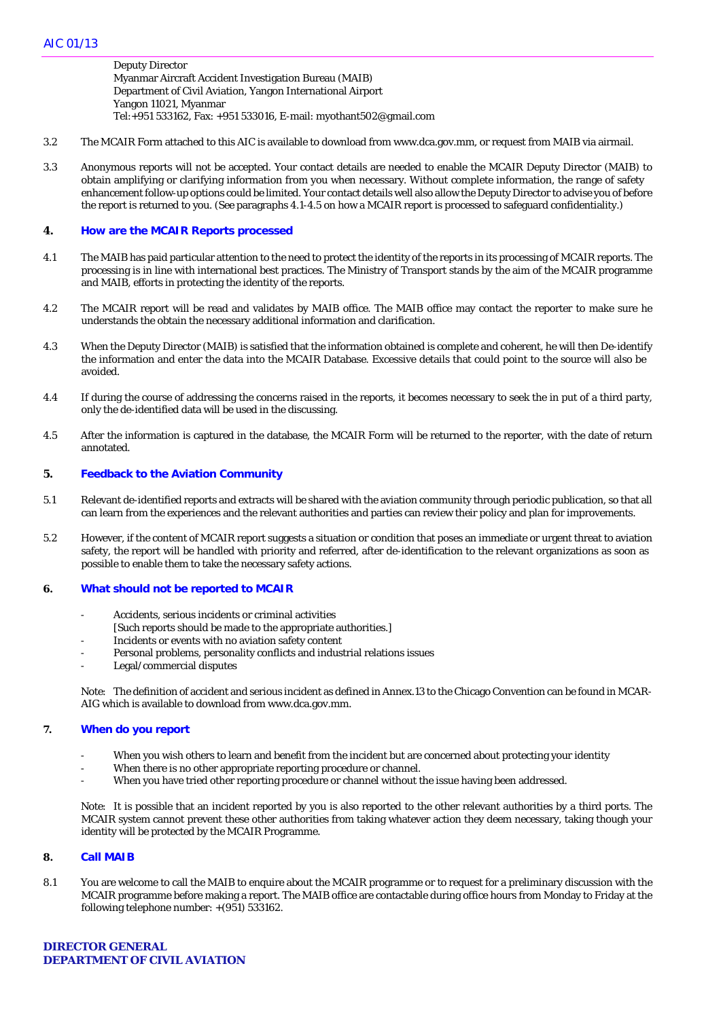Deputy Director Myanmar Aircraft Accident Investigation Bureau (MAIB) Department of Civil Aviation, Yangon International Airport Yangon 11021, Myanmar Tel:+951 533162, Fax: +951 533016, E-mail: myothant502@gmail.com

- 3.2 The MCAIR Form attached to this AIC is available to download from www.dca.gov.mm, or request from MAIB via airmail.
- 3.3 Anonymous reports will not be accepted. Your contact details are needed to enable the MCAIR Deputy Director (MAIB) to obtain amplifying or clarifying information from you when necessary. Without complete information, the range of safety enhancement follow-up options could be limited. Your contact details well also allow the Deputy Director to advise you of before the report is returned to you. (*See* paragraphs 4.1-4.5 on how a MCAIR report is processed to safeguard confidentiality.)

## **4. How are the MCAIR Reports processed**

- 4.1 The MAIB has paid particular attention to the need to protect the identity of the reports in its processing of MCAIR reports. The processing is in line with international best practices. The Ministry of Transport stands by the aim of the MCAIR programme and MAIB, efforts in protecting the identity of the reports.
- 4.2 The MCAIR report will be read and validates by MAIB office. The MAIB office may contact the reporter to make sure he understands the obtain the necessary additional information and clarification.
- 4.3 When the Deputy Director (MAIB) is satisfied that the information obtained is complete and coherent, he will then De-identify the information and enter the data into the MCAIR Database. Excessive details that could point to the source will also be avoided.
- 4.4 If during the course of addressing the concerns raised in the reports, it becomes necessary to seek the in put of a third party, only the de-identified data will be used in the discussing.
- 4.5 After the information is captured in the database, the MCAIR Form will be returned to the reporter, with the date of return annotated.

#### **5. Feedback to the Aviation Community**

- 5.1 Relevant de-identified reports and extracts will be shared with the aviation community through periodic publication, so that all can learn from the experiences and the relevant authorities and parties can review their policy and plan for improvements.
- 5.2 However, if the content of MCAIR report suggests a situation or condition that poses an immediate or urgent threat to aviation safety, the report will be handled with priority and referred, after de-identification to the relevant organizations as soon as possible to enable them to take the necessary safety actions.

## **6. What should not be reported to MCAIR**

- Accidents, serious incidents or criminal activities
- [Such reports should be made to the appropriate authorities.]
- Incidents or events with no aviation safety content
- Personal problems, personality conflicts and industrial relations issues
- Legal/commercial disputes

*Note:* The definition of accident and serious incident as defined in Annex.13 to the Chicago Convention can be found in MCAR-AIG which is available to download from www.dca.gov.mm.

#### **7. When do you report**

- When you wish others to learn and benefit from the incident but are concerned about protecting your identity
- When there is no other appropriate reporting procedure or channel.
- When you have tried other reporting procedure or channel without the issue having been addressed.

*Note:* It is possible that an incident reported by you is also reported to the other relevant authorities by a third ports. The MCAIR system cannot prevent these other authorities from taking whatever action they deem necessary, taking though your identity will be protected by the MCAIR Programme.

#### **8. Call MAIB**

8.1 You are welcome to call the MAIB to enquire about the MCAIR programme or to request for a preliminary discussion with the MCAIR programme before making a report. The MAIB office are contactable during office hours from Monday to Friday at the following telephone number: +(951) 533162.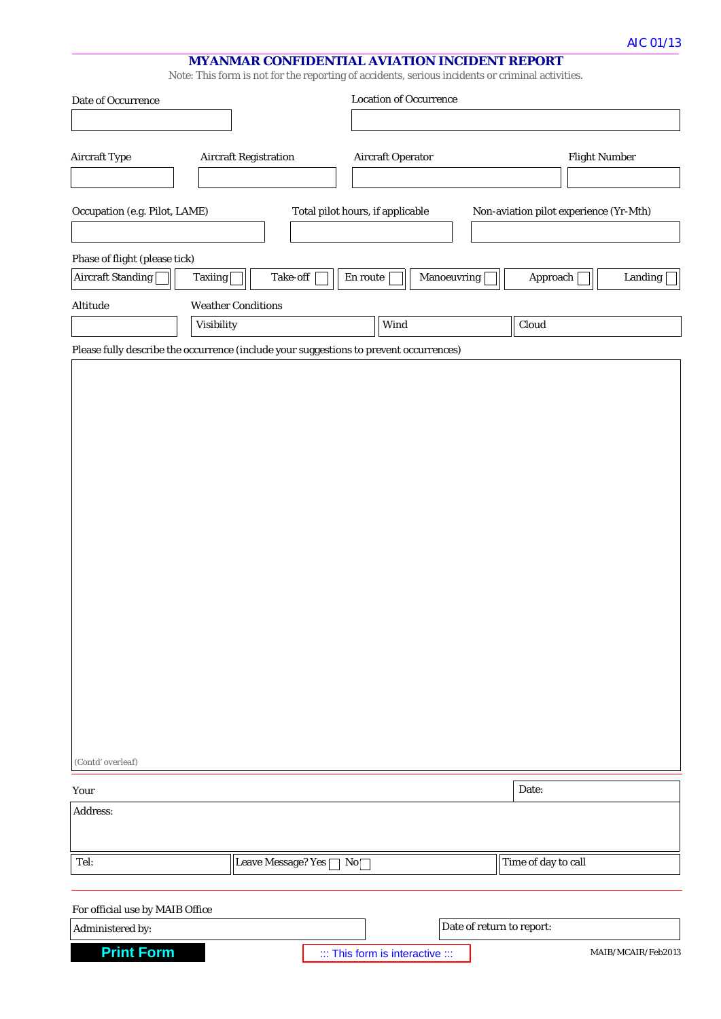# **MYANMAR CONFIDENTIAL AVIATION INCIDENT REPORT**

*Note*: This form is not for the reporting of accidents, serious incidents or criminal activities.

| Date of Occurrence                                  |                                                                                        | <b>Location of Occurrence</b>    |                                        |                      |
|-----------------------------------------------------|----------------------------------------------------------------------------------------|----------------------------------|----------------------------------------|----------------------|
|                                                     |                                                                                        |                                  |                                        |                      |
| <b>Aircraft Type</b>                                | <b>Aircraft Registration</b>                                                           | <b>Aircraft Operator</b>         |                                        | <b>Flight Number</b> |
| Occupation (e.g. Pilot, LAME)                       |                                                                                        | Total pilot hours, if applicable | Non-aviation pilot experience (Yr-Mth) |                      |
| Phase of flight (please tick)                       |                                                                                        |                                  |                                        |                      |
| Aircraft Standing                                   | Take-off<br><b>Taxiing</b>                                                             | En route<br>Manoeuvring          | Approach                               | Landing              |
| Altitude                                            | <b>Weather Conditions</b>                                                              |                                  |                                        |                      |
|                                                     | Visibility                                                                             | Wind                             | Cloud                                  |                      |
|                                                     | Please fully describe the occurrence (include your suggestions to prevent occurrences) |                                  |                                        |                      |
|                                                     |                                                                                        |                                  |                                        |                      |
| (Contd' overleaf)                                   |                                                                                        |                                  |                                        |                      |
| Your                                                |                                                                                        |                                  | Date:                                  |                      |
| Address:                                            |                                                                                        |                                  |                                        |                      |
| Tel:                                                | Leave Message? Yes □ No                                                                |                                  | Time of day to call                    |                      |
|                                                     |                                                                                        |                                  |                                        |                      |
| For official use by MAIB Office<br>Administered by: |                                                                                        |                                  | Date of return to report:              |                      |
| <b>Print Form</b>                                   |                                                                                        | ::: This form is interactive ::: |                                        | MAIB/MCAIR/Feb2013   |